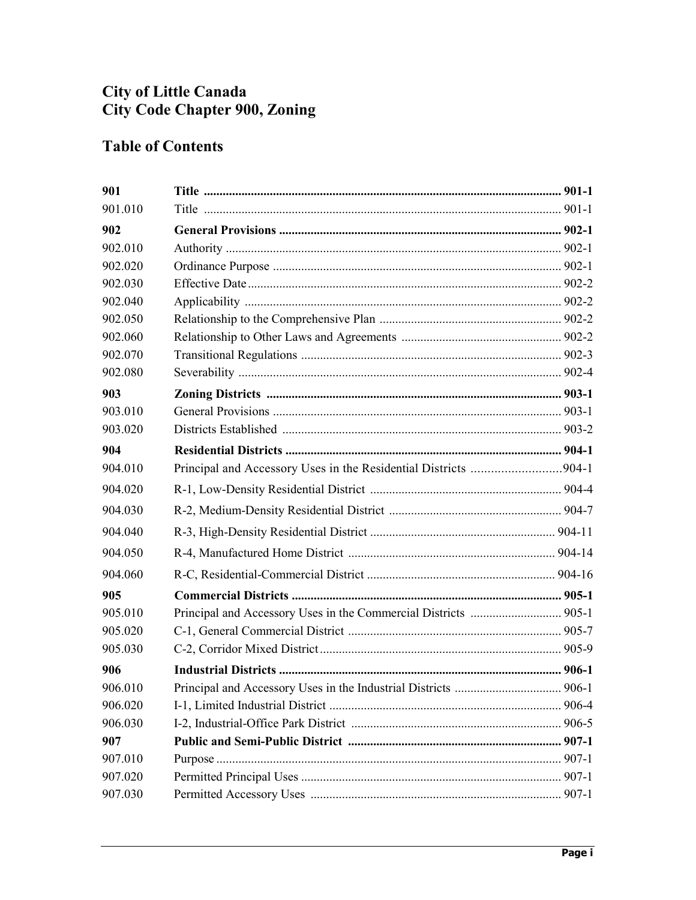## **City of Little Canada City Code Chapter 900, Zoning**

## **Table of Contents**

| 901     |                                                                 |  |
|---------|-----------------------------------------------------------------|--|
| 901.010 |                                                                 |  |
| 902     |                                                                 |  |
| 902.010 |                                                                 |  |
| 902.020 |                                                                 |  |
| 902.030 |                                                                 |  |
| 902.040 |                                                                 |  |
| 902.050 |                                                                 |  |
| 902.060 |                                                                 |  |
| 902.070 |                                                                 |  |
| 902.080 |                                                                 |  |
| 903     |                                                                 |  |
| 903.010 |                                                                 |  |
| 903.020 |                                                                 |  |
| 904     |                                                                 |  |
| 904.010 | Principal and Accessory Uses in the Residential Districts 904-1 |  |
| 904.020 |                                                                 |  |
| 904.030 |                                                                 |  |
| 904.040 |                                                                 |  |
| 904.050 |                                                                 |  |
| 904.060 |                                                                 |  |
| 905     |                                                                 |  |
| 905.010 |                                                                 |  |
| 905.020 |                                                                 |  |
| 905.030 |                                                                 |  |
| 906     |                                                                 |  |
| 906.010 |                                                                 |  |
| 906.020 |                                                                 |  |
| 906.030 |                                                                 |  |
| 907     |                                                                 |  |
| 907.010 |                                                                 |  |
| 907.020 |                                                                 |  |
| 907.030 |                                                                 |  |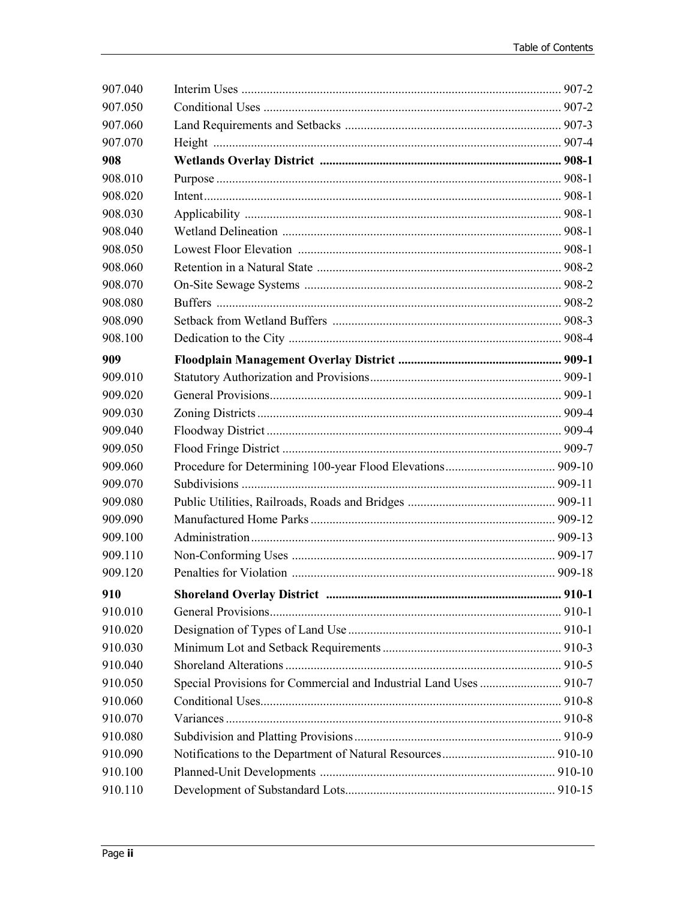| 907.040 |                                                                   |  |
|---------|-------------------------------------------------------------------|--|
| 907.050 |                                                                   |  |
| 907.060 |                                                                   |  |
| 907.070 |                                                                   |  |
| 908     |                                                                   |  |
| 908.010 |                                                                   |  |
| 908.020 |                                                                   |  |
| 908.030 |                                                                   |  |
| 908.040 |                                                                   |  |
| 908.050 |                                                                   |  |
| 908.060 |                                                                   |  |
| 908.070 |                                                                   |  |
| 908.080 |                                                                   |  |
| 908.090 |                                                                   |  |
| 908.100 |                                                                   |  |
| 909     |                                                                   |  |
| 909.010 |                                                                   |  |
| 909.020 |                                                                   |  |
| 909.030 |                                                                   |  |
| 909.040 |                                                                   |  |
| 909.050 |                                                                   |  |
| 909.060 |                                                                   |  |
| 909.070 |                                                                   |  |
| 909.080 |                                                                   |  |
| 909.090 |                                                                   |  |
| 909.100 |                                                                   |  |
| 909.110 |                                                                   |  |
| 909.120 |                                                                   |  |
| 910     |                                                                   |  |
| 910.010 |                                                                   |  |
| 910.020 |                                                                   |  |
| 910.030 |                                                                   |  |
| 910.040 |                                                                   |  |
| 910.050 | Special Provisions for Commercial and Industrial Land Uses  910-7 |  |
| 910.060 |                                                                   |  |
| 910.070 |                                                                   |  |
| 910.080 |                                                                   |  |
| 910.090 |                                                                   |  |
| 910.100 |                                                                   |  |
| 910.110 |                                                                   |  |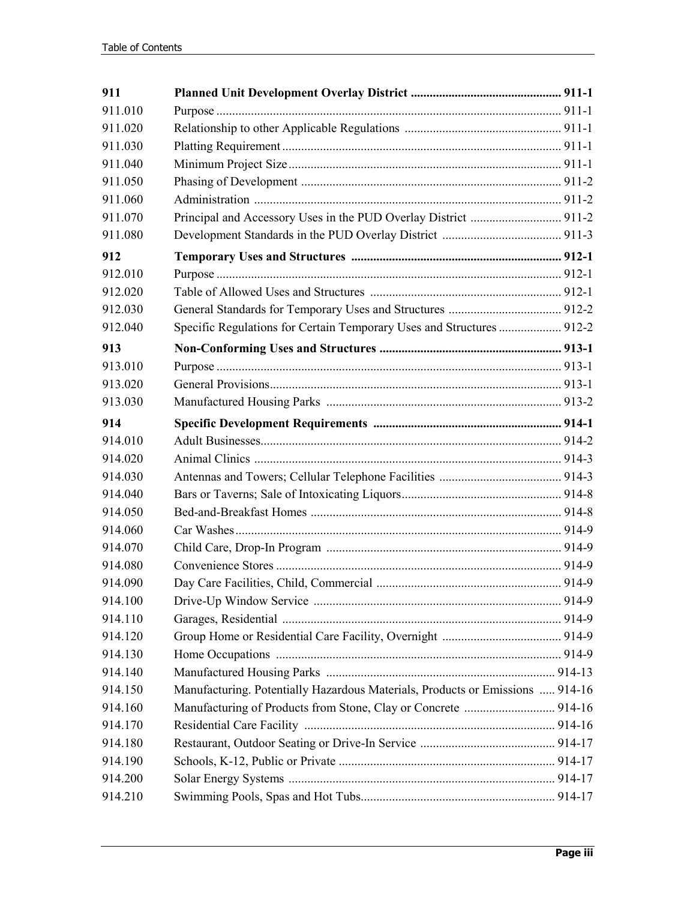| 911     |                                                                               |  |
|---------|-------------------------------------------------------------------------------|--|
| 911.010 |                                                                               |  |
| 911.020 |                                                                               |  |
| 911.030 |                                                                               |  |
| 911.040 |                                                                               |  |
| 911.050 |                                                                               |  |
| 911.060 |                                                                               |  |
| 911.070 |                                                                               |  |
| 911.080 |                                                                               |  |
| 912     |                                                                               |  |
| 912.010 |                                                                               |  |
| 912.020 |                                                                               |  |
| 912.030 |                                                                               |  |
| 912.040 | Specific Regulations for Certain Temporary Uses and Structures  912-2         |  |
| 913     |                                                                               |  |
| 913.010 |                                                                               |  |
| 913.020 |                                                                               |  |
| 913.030 |                                                                               |  |
| 914     |                                                                               |  |
| 914.010 |                                                                               |  |
| 914.020 |                                                                               |  |
| 914.030 |                                                                               |  |
| 914.040 |                                                                               |  |
| 914.050 |                                                                               |  |
| 914.060 |                                                                               |  |
| 914.070 |                                                                               |  |
| 914.080 |                                                                               |  |
| 914.090 |                                                                               |  |
| 914.100 |                                                                               |  |
| 914.110 |                                                                               |  |
| 914.120 |                                                                               |  |
| 914.130 |                                                                               |  |
| 914.140 |                                                                               |  |
| 914.150 | Manufacturing. Potentially Hazardous Materials, Products or Emissions  914-16 |  |
| 914.160 | Manufacturing of Products from Stone, Clay or Concrete  914-16                |  |
| 914.170 |                                                                               |  |
| 914.180 |                                                                               |  |
| 914.190 |                                                                               |  |
| 914.200 |                                                                               |  |
| 914.210 |                                                                               |  |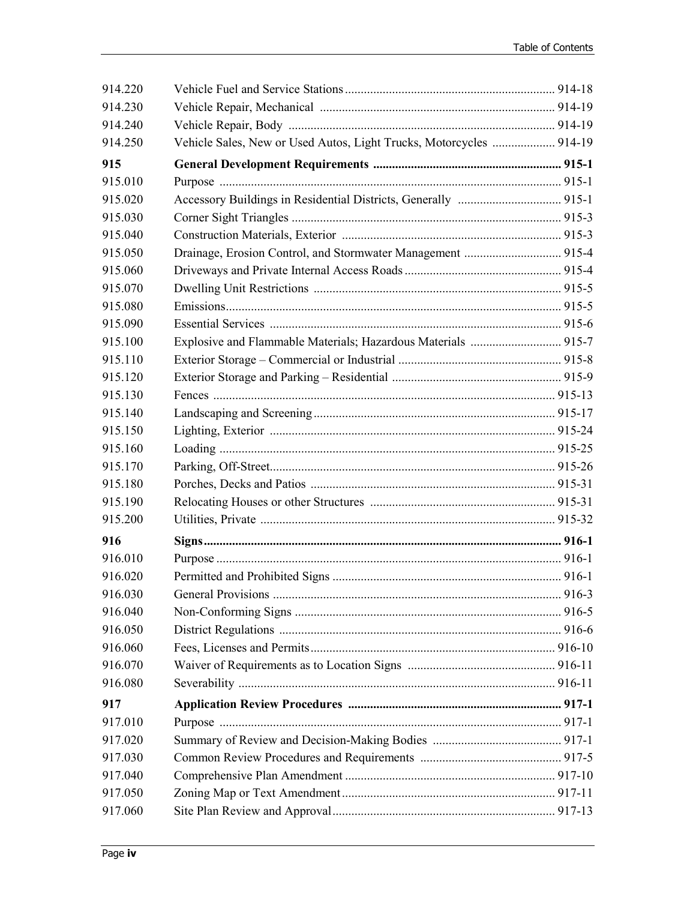| 914.220 |                                                                     |  |
|---------|---------------------------------------------------------------------|--|
| 914.230 |                                                                     |  |
| 914.240 |                                                                     |  |
| 914.250 | Vehicle Sales, New or Used Autos, Light Trucks, Motorcycles  914-19 |  |
| 915     |                                                                     |  |
| 915.010 |                                                                     |  |
| 915.020 |                                                                     |  |
| 915.030 |                                                                     |  |
| 915.040 |                                                                     |  |
| 915.050 |                                                                     |  |
| 915.060 |                                                                     |  |
| 915.070 |                                                                     |  |
| 915.080 |                                                                     |  |
| 915.090 |                                                                     |  |
| 915.100 |                                                                     |  |
| 915.110 |                                                                     |  |
| 915.120 |                                                                     |  |
| 915.130 |                                                                     |  |
| 915.140 |                                                                     |  |
| 915.150 |                                                                     |  |
| 915.160 |                                                                     |  |
| 915.170 |                                                                     |  |
| 915.180 |                                                                     |  |
| 915.190 |                                                                     |  |
| 915.200 |                                                                     |  |
| 916     |                                                                     |  |
| 916.010 |                                                                     |  |
| 916.020 |                                                                     |  |
| 916.030 |                                                                     |  |
| 916.040 |                                                                     |  |
| 916.050 |                                                                     |  |
| 916.060 |                                                                     |  |
| 916.070 |                                                                     |  |
| 916.080 |                                                                     |  |
| 917     |                                                                     |  |
| 917.010 |                                                                     |  |
| 917.020 |                                                                     |  |
| 917.030 |                                                                     |  |
| 917.040 |                                                                     |  |
| 917.050 |                                                                     |  |
| 917.060 |                                                                     |  |